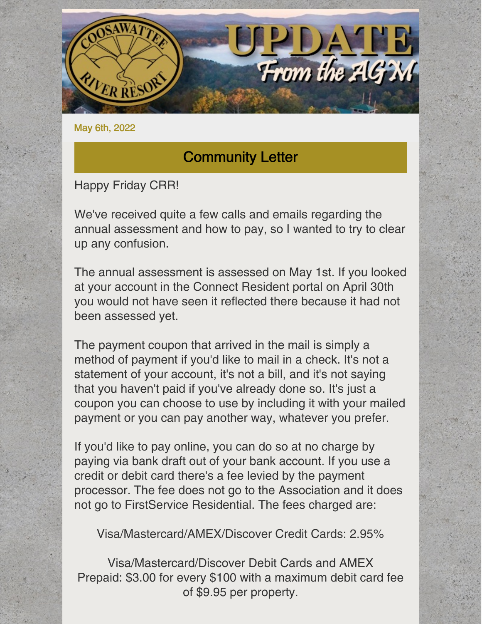

May 6th, 2022

### Community Letter

#### Happy Friday CRR!

We've received quite a few calls and emails regarding the annual assessment and how to pay, so I wanted to try to clear up any confusion.

The annual assessment is assessed on May 1st. If you looked at your account in the Connect Resident portal on April 30th you would not have seen it reflected there because it had not been assessed yet.

The payment coupon that arrived in the mail is simply a method of payment if you'd like to mail in a check. It's not a statement of your account, it's not a bill, and it's not saying that you haven't paid if you've already done so. It's just a coupon you can choose to use by including it with your mailed payment or you can pay another way, whatever you prefer.

If you'd like to pay online, you can do so at no charge by paying via bank draft out of your bank account. If you use a credit or debit card there's a fee levied by the payment processor. The fee does not go to the Association and it does not go to FirstService Residential. The fees charged are:

Visa/Mastercard/AMEX/Discover Credit Cards: 2.95%

Visa/Mastercard/Discover Debit Cards and AMEX Prepaid: \$3.00 for every \$100 with a maximum debit card fee of \$9.95 per property.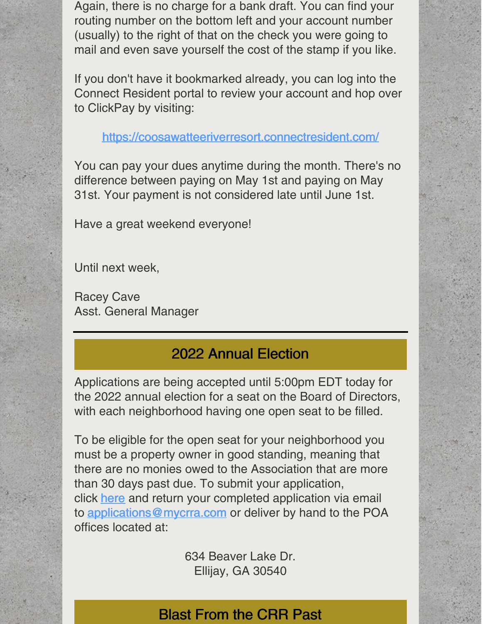Again, there is no charge for a bank draft. You can find your routing number on the bottom left and your account number (usually) to the right of that on the check you were going to mail and even save yourself the cost of the stamp if you like.

If you don't have it bookmarked already, you can log into the Connect Resident portal to review your account and hop over to ClickPay by visiting:

<https://coosawatteeriverresort.connectresident.com/>

You can pay your dues anytime during the month. There's no difference between paying on May 1st and paying on May 31st. Your payment is not considered late until June 1st.

Have a great weekend everyone!

Until next week,

Racey Cave Asst. General Manager

### 2022 Annual Election

Applications are being accepted until 5:00pm EDT today for the 2022 annual election for a seat on the Board of Directors, with each neighborhood having one open seat to be filled.

To be eligible for the open seat for your neighborhood you must be a property owner in good standing, meaning that there are no monies owed to the Association that are more than 30 days past due. To submit your application, click [here](https://www.mycrra.com/bod-committees) and return your completed application via email to [applications@mycrra.com](mailto:applications@mycrra.com) or deliver by hand to the POA offices located at:

> 634 Beaver Lake Dr. Ellijay, GA 30540

### Blast From the CRR Past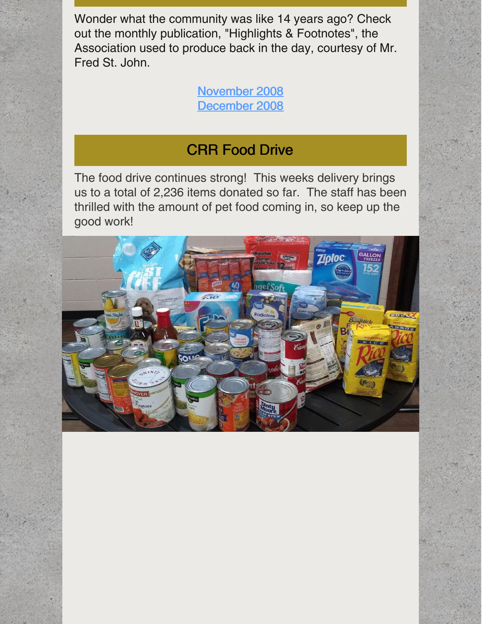Wonder what the community was like 14 years ago? Check out the monthly publication, "Highlights & Footnotes", the Association used to produce back in the day, courtesy of Mr. Fred St. John.

> [November](https://files.constantcontact.com/8cd0fef6701/0dd8feae-3d1a-4667-aa9a-3eb439c78aa7.pdf?rdr=true) 2008 [December](https://files.constantcontact.com/8cd0fef6701/a460c80a-49be-4130-b238-21e0f8732e34.pdf?rdr=true) 2008

#### CRR Food Drive

The food drive continues strong! This weeks delivery brings us to a total of 2,236 items donated so far. The staff has been thrilled with the amount of pet food coming in, so keep up the good work!

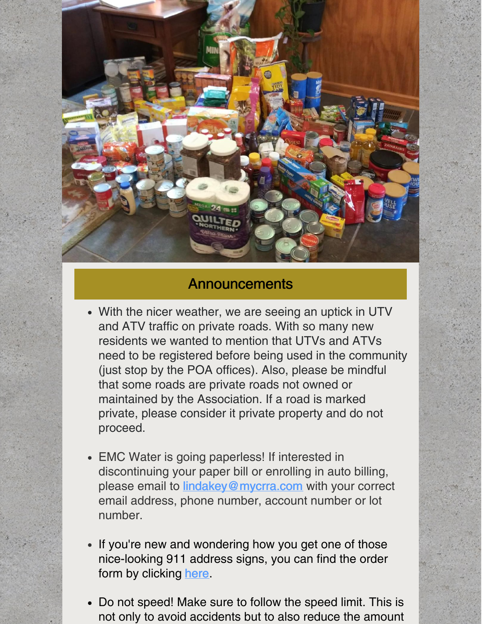

### **Announcements**

- With the nicer weather, we are seeing an uptick in UTV and ATV traffic on private roads. With so many new residents we wanted to mention that UTVs and ATVs need to be registered before being used in the community (just stop by the POA offices). Also, please be mindful that some roads are private roads not owned or maintained by the Association. If a road is marked private, please consider it private property and do not proceed.
- EMC Water is going paperless! If interested in discontinuing your paper bill or enrolling in auto billing, please email to **[lindakey@mycrra.com](mailto:lindakey@mycrra.com)** with your correct email address, phone number, account number or lot number.
- If you're new and wondering how you get one of those nice-looking 911 address signs, you can find the order form by clicking [here](https://www.mycrra.com/information).
- Do not speed! Make sure to follow the speed limit. This is not only to avoid accidents but to also reduce the amount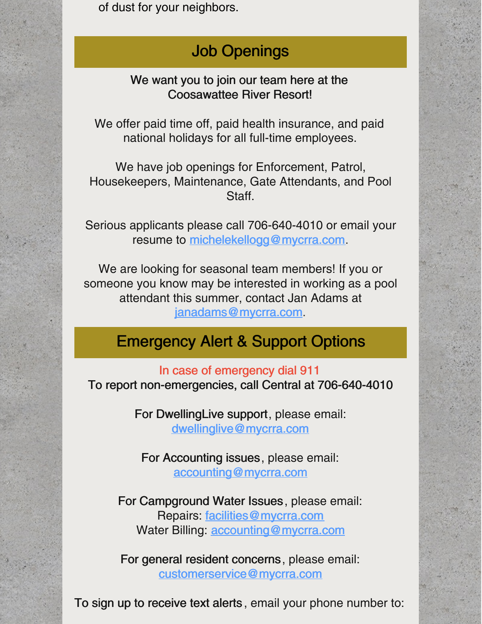of dust for your neighbors.

# Job Openings

We want you to join our team here at the Coosawattee River Resort!

We offer paid time off, paid health insurance, and paid national holidays for all full-time employees.

We have job openings for Enforcement, Patrol, Housekeepers, Maintenance, Gate Attendants, and Pool Staff.

Serious applicants please call 706-640-4010 or email your resume to [michelekellogg@mycrra.com](mailto:michelekellogg@mycrra.com).

We are looking for seasonal team members! If you or someone you know may be interested in working as a pool attendant this summer, contact Jan Adams at [janadams@mycrra.com](mailto:janadams@mycrra.com).

## Emergency Alert & Support Options

In case of emergency dial 911 To report non-emergencies, call Central at 706-640-4010

> For DwellingLive support, please email: [dwellinglive@mycrra.com](mailto:dwellinglive@mycrra.com)

For Accounting issues, please email: [accounting@mycrra.com](mailto:accounting@myccra.com)

For Campground Water Issues, please email: Repairs: [facilities@mycrra.com](mailto:facilities@mycrra.com) Water Billing: [accounting@mycrra.com](mailto:accounting@mycrra.com)

For general resident concerns, please email: [customerservice@mycrra.com](mailto:customerservice@mycrra.com)

To sign up to receive text alerts , email your phone number to: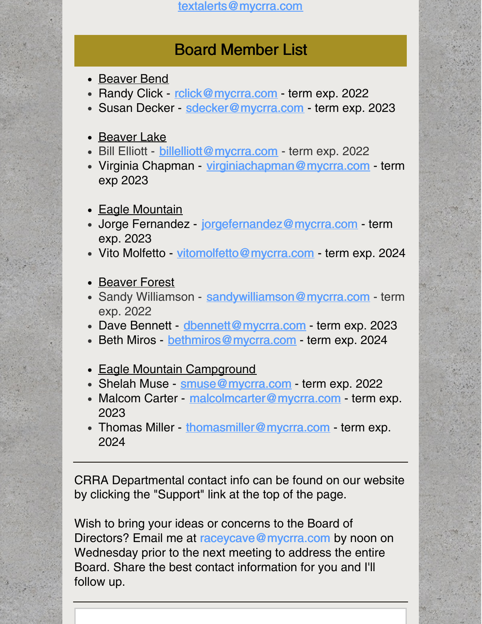[textalerts@mycrra.com](http://textalerts@mycrra.com)

### Board Member List

- Beaver Bend
- Randy Click [rclick@mycrra.com](mailto:rclick@mycrra.com) term exp. 2022
- Susan Decker [sdecker@mycrra.com](mailto:sdecker@mycrra.com) term exp. 2023
- Beaver Lake
- Bill Elliott [billelliott@mycrra.com](mailto:billelliott@mycrra.com) term exp. 2022
- Virginia Chapman [virginiachapman@mycrra.com](mailto:virginiachapman@mycrra.com) term exp 2023
- Eagle Mountain
- Jorge Fernandez [jorgefernandez@mycrra.com](mailto:jorgefernandez@mycrra.com) term exp. 2023
- Vito Molfetto [vitomolfetto@mycrra.com](mailto:vitomolfetto@mycrra.com) term exp. 2024
- Beaver Forest
- Sandy Williamson [sandywilliamson@mycrra.com](mailto:sandywilliamson@mycrra.com) term exp. 2022
- Dave Bennett [dbennett@mycrra.com](mailto:dbennett@mycrra.com) term exp. 2023
- Beth Miros [bethmiros@mycrra.com](mailto:bethmiros@mycrra.com) term exp. 2024
- Eagle Mountain Campground
- Shelah Muse [smuse@mycrra.com](mailto:smuse@mycrra.com) term exp. 2022
- Malcom Carter [malcolmcarter@mycrra.com](mailto:malcolmcarter@mycrra.com) term exp. 2023
- Thomas Miller [thomasmiller@mycrra.com](mailto:thomasmiller@mycrra.com) term exp. 2024

CRRA Departmental contact info can be found on our website by clicking the "Support" link at the top of the page.

Wish to bring your ideas or concerns to the Board of Directors? Email me at [raceycave@mycrra.com](mailto:customerservice@mycrra.com) by noon on Wednesday prior to the next meeting to address the entire Board. Share the best contact information for you and I'll follow up.